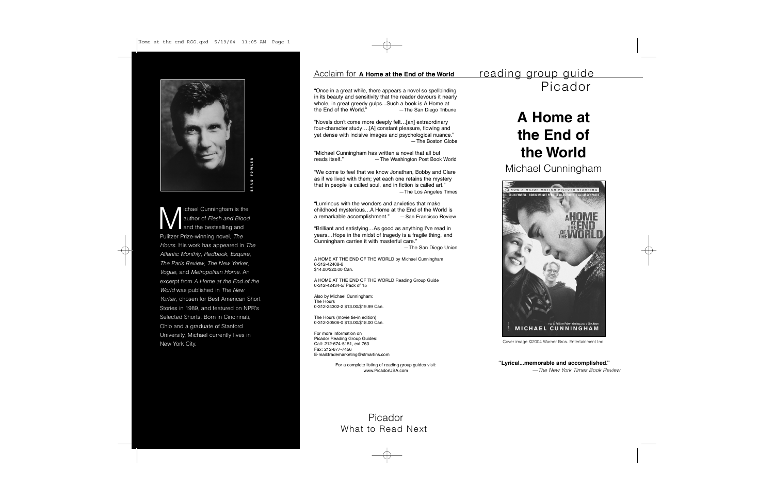# **A Home at the End of the World**

Michael Cunningham



ichael Cunningham is the<br>author of Flesh and Blood<br>and the bestselling and Pulitzer Prize-winning novel, The Hours. His work has appeared in The Atlantic Monthly, Redbook, Esquire, The Paris Review, The New Yorker, Vogue, and Metropolitan Home. An excerpt from A Home at the End of the World was published in The New Yorker, chosen for Best American Short Stories in 1989, and featured on NPR's Selected Shorts. Born in Cincinnati, Ohio and a graduate of Stanford University, Michael currently lives in New York City.

**"Lyrical...memorable and accomplished."**

—The New York Times Book Review

Cover image ©2004 Warner Bros. Entertainment Inc.

## Acclaim for **A Home at the End of the World**

"Once in a great while, there appears a novel so spellbinding in its beauty and sensitivity that the reader devours it nearly whole, in great greedy gulps...Such a book is A Home at the End of the World." —The San Diego Tribune

The Hours (movie tie-in edition) 0-312-30506-0 \$13.00/\$18.00 Can.

"Novels don't come more deeply felt…[an] extraordinary four-character study….[A] constant pleasure, flowing and yet dense with incisive images and psychological nuance." —The Boston Globe

"Michael Cunningham has written a novel that all but reads itself." —The Washington Post Book World

"We come to feel that we know Jonathan, Bobby and Clare as if we lived with them; yet each one retains the mystery that in people is called soul, and in fiction is called art." —The Los Angeles Times

"Luminous with the wonders and anxieties that make childhood mysterious…A Home at the End of the World is a remarkable accomplishment." —San Francisco Review

"Brilliant and satisfying…As good as anything I've read in years…Hope in the midst of tragedy is a fragile thing, and Cunningham carries it with masterful care." —The San Diego Union

A HOME AT THE END OF THE WORLD by Michael Cunningham 0-312-42408-6 \$14.00/\$20.00 Can.

A HOME AT THE END OF THE WORLD Reading Group Guide 0-312-42434-5/ Pack of 15

Also by Michael Cunningham: The Hours 0-312-24302-2 \$13.00/\$19.99 Can.

For more information on Picador Reading Group Guides: Call: 212-674-5151, ext 763 Fax: 212-677-7456 E-mail:trademarketing@stmartins.com

> For a complete listing of reading group guides visit: www.PicadorUSA.com

# reading group guide Picador

Picador What to Read Next



### Home at the end RGG.qxd 5/19/04 11:05 AM Page 1